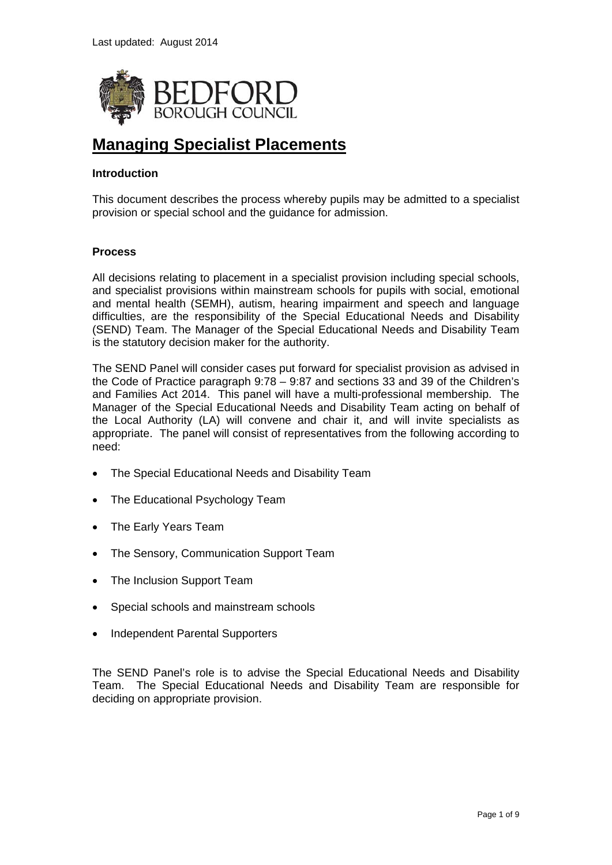

# **Managing Specialist Placements**

# **Introduction**

This document describes the process whereby pupils may be admitted to a specialist provision or special school and the guidance for admission.

## **Process**

All decisions relating to placement in a specialist provision including special schools, and specialist provisions within mainstream schools for pupils with social, emotional and mental health (SEMH), autism, hearing impairment and speech and language difficulties, are the responsibility of the Special Educational Needs and Disability (SEND) Team. The Manager of the Special Educational Needs and Disability Team is the statutory decision maker for the authority.

The SEND Panel will consider cases put forward for specialist provision as advised in the Code of Practice paragraph 9:78 – 9:87 and sections 33 and 39 of the Children's and Families Act 2014. This panel will have a multi-professional membership. The Manager of the Special Educational Needs and Disability Team acting on behalf of the Local Authority (LA) will convene and chair it, and will invite specialists as appropriate. The panel will consist of representatives from the following according to need:

- The Special Educational Needs and Disability Team
- The Educational Psychology Team
- The Early Years Team
- The Sensory, Communication Support Team
- The Inclusion Support Team
- Special schools and mainstream schools
- Independent Parental Supporters

The SEND Panel's role is to advise the Special Educational Needs and Disability Team. The Special Educational Needs and Disability Team are responsible for deciding on appropriate provision.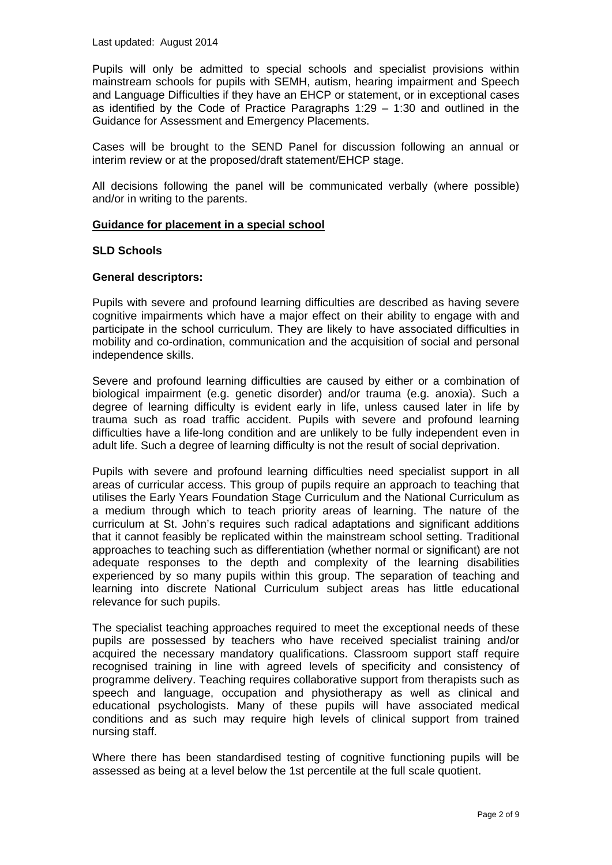Pupils will only be admitted to special schools and specialist provisions within mainstream schools for pupils with SEMH, autism, hearing impairment and Speech and Language Difficulties if they have an EHCP or statement, or in exceptional cases as identified by the Code of Practice Paragraphs 1:29 – 1:30 and outlined in the Guidance for Assessment and Emergency Placements.

Cases will be brought to the SEND Panel for discussion following an annual or interim review or at the proposed/draft statement/EHCP stage.

All decisions following the panel will be communicated verbally (where possible) and/or in writing to the parents.

## **Guidance for placement in a special school**

#### **SLD Schools**

## **General descriptors:**

Pupils with severe and profound learning difficulties are described as having severe cognitive impairments which have a major effect on their ability to engage with and participate in the school curriculum. They are likely to have associated difficulties in mobility and co-ordination, communication and the acquisition of social and personal independence skills.

Severe and profound learning difficulties are caused by either or a combination of biological impairment (e.g. genetic disorder) and/or trauma (e.g. anoxia). Such a degree of learning difficulty is evident early in life, unless caused later in life by trauma such as road traffic accident. Pupils with severe and profound learning difficulties have a life-long condition and are unlikely to be fully independent even in adult life. Such a degree of learning difficulty is not the result of social deprivation.

Pupils with severe and profound learning difficulties need specialist support in all areas of curricular access. This group of pupils require an approach to teaching that utilises the Early Years Foundation Stage Curriculum and the National Curriculum as a medium through which to teach priority areas of learning. The nature of the curriculum at St. John's requires such radical adaptations and significant additions that it cannot feasibly be replicated within the mainstream school setting. Traditional approaches to teaching such as differentiation (whether normal or significant) are not adequate responses to the depth and complexity of the learning disabilities experienced by so many pupils within this group. The separation of teaching and learning into discrete National Curriculum subject areas has little educational relevance for such pupils.

The specialist teaching approaches required to meet the exceptional needs of these pupils are possessed by teachers who have received specialist training and/or acquired the necessary mandatory qualifications. Classroom support staff require recognised training in line with agreed levels of specificity and consistency of programme delivery. Teaching requires collaborative support from therapists such as speech and language, occupation and physiotherapy as well as clinical and educational psychologists. Many of these pupils will have associated medical conditions and as such may require high levels of clinical support from trained nursing staff.

Where there has been standardised testing of cognitive functioning pupils will be assessed as being at a level below the 1st percentile at the full scale quotient.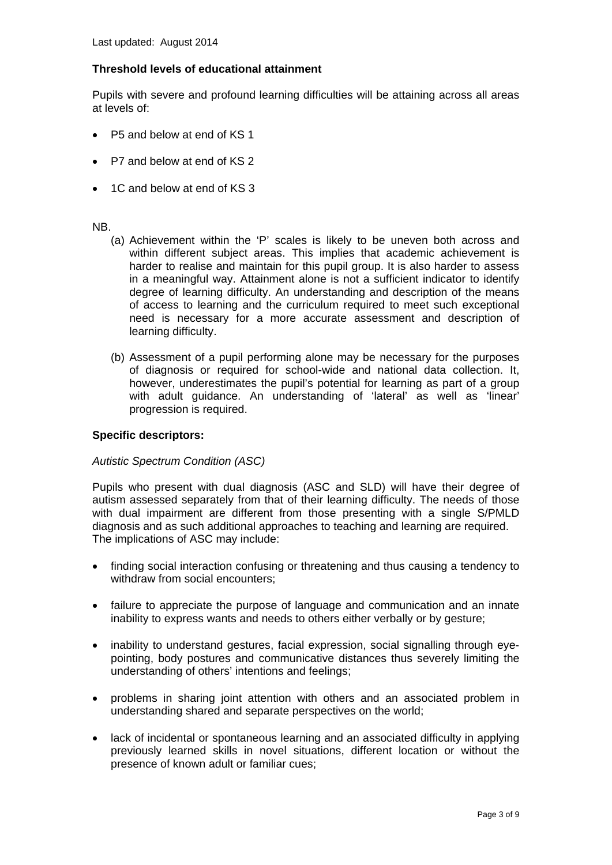# **Threshold levels of educational attainment**

Pupils with severe and profound learning difficulties will be attaining across all areas at levels of:

- P5 and below at end of KS 1
- P7 and below at end of KS 2
- 1C and below at end of KS 3

#### NB.

- (a) Achievement within the 'P' scales is likely to be uneven both across and within different subject areas. This implies that academic achievement is harder to realise and maintain for this pupil group. It is also harder to assess in a meaningful way. Attainment alone is not a sufficient indicator to identify degree of learning difficulty. An understanding and description of the means of access to learning and the curriculum required to meet such exceptional need is necessary for a more accurate assessment and description of learning difficulty.
- (b) Assessment of a pupil performing alone may be necessary for the purposes of diagnosis or required for school-wide and national data collection. It, however, underestimates the pupil's potential for learning as part of a group with adult guidance. An understanding of 'lateral' as well as 'linear' progression is required.

## **Specific descriptors:**

## *Autistic Spectrum Condition (ASC)*

Pupils who present with dual diagnosis (ASC and SLD) will have their degree of autism assessed separately from that of their learning difficulty. The needs of those with dual impairment are different from those presenting with a single S/PMLD diagnosis and as such additional approaches to teaching and learning are required. The implications of ASC may include:

- finding social interaction confusing or threatening and thus causing a tendency to withdraw from social encounters;
- failure to appreciate the purpose of language and communication and an innate inability to express wants and needs to others either verbally or by gesture;
- inability to understand gestures, facial expression, social signalling through eyepointing, body postures and communicative distances thus severely limiting the understanding of others' intentions and feelings;
- problems in sharing joint attention with others and an associated problem in understanding shared and separate perspectives on the world;
- lack of incidental or spontaneous learning and an associated difficulty in applying previously learned skills in novel situations, different location or without the presence of known adult or familiar cues;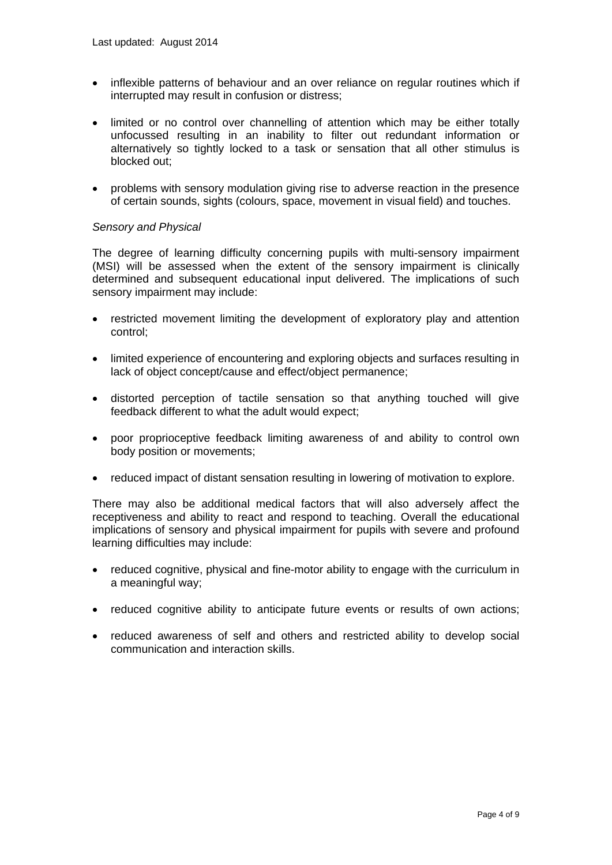- inflexible patterns of behaviour and an over reliance on regular routines which if interrupted may result in confusion or distress;
- limited or no control over channelling of attention which may be either totally unfocussed resulting in an inability to filter out redundant information or alternatively so tightly locked to a task or sensation that all other stimulus is blocked out;
- problems with sensory modulation giving rise to adverse reaction in the presence of certain sounds, sights (colours, space, movement in visual field) and touches.

## *Sensory and Physical*

The degree of learning difficulty concerning pupils with multi-sensory impairment (MSI) will be assessed when the extent of the sensory impairment is clinically determined and subsequent educational input delivered. The implications of such sensory impairment may include:

- restricted movement limiting the development of exploratory play and attention control;
- limited experience of encountering and exploring objects and surfaces resulting in lack of object concept/cause and effect/object permanence;
- distorted perception of tactile sensation so that anything touched will give feedback different to what the adult would expect;
- poor proprioceptive feedback limiting awareness of and ability to control own body position or movements;
- reduced impact of distant sensation resulting in lowering of motivation to explore.

There may also be additional medical factors that will also adversely affect the receptiveness and ability to react and respond to teaching. Overall the educational implications of sensory and physical impairment for pupils with severe and profound learning difficulties may include:

- reduced cognitive, physical and fine-motor ability to engage with the curriculum in a meaningful way;
- reduced cognitive ability to anticipate future events or results of own actions;
- reduced awareness of self and others and restricted ability to develop social communication and interaction skills.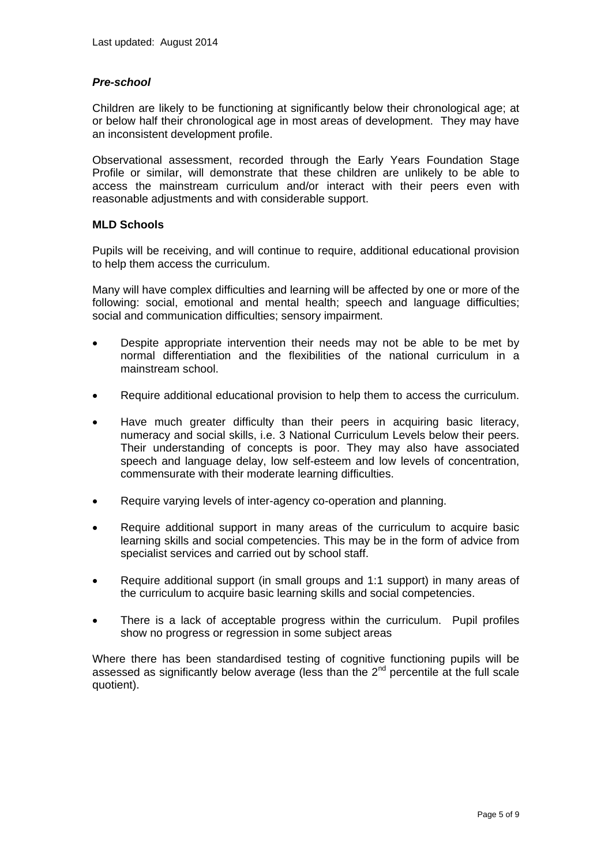## *Pre-school*

Children are likely to be functioning at significantly below their chronological age; at or below half their chronological age in most areas of development. They may have an inconsistent development profile.

Observational assessment, recorded through the Early Years Foundation Stage Profile or similar, will demonstrate that these children are unlikely to be able to access the mainstream curriculum and/or interact with their peers even with reasonable adjustments and with considerable support.

## **MLD Schools**

Pupils will be receiving, and will continue to require, additional educational provision to help them access the curriculum.

Many will have complex difficulties and learning will be affected by one or more of the following: social, emotional and mental health; speech and language difficulties; social and communication difficulties; sensory impairment.

- Despite appropriate intervention their needs may not be able to be met by normal differentiation and the flexibilities of the national curriculum in a mainstream school.
- Require additional educational provision to help them to access the curriculum.
- Have much greater difficulty than their peers in acquiring basic literacy, numeracy and social skills, i.e. 3 National Curriculum Levels below their peers. Their understanding of concepts is poor. They may also have associated speech and language delay, low self-esteem and low levels of concentration, commensurate with their moderate learning difficulties.
- Require varying levels of inter-agency co-operation and planning.
- Require additional support in many areas of the curriculum to acquire basic learning skills and social competencies. This may be in the form of advice from specialist services and carried out by school staff.
- Require additional support (in small groups and 1:1 support) in many areas of the curriculum to acquire basic learning skills and social competencies.
- There is a lack of acceptable progress within the curriculum. Pupil profiles show no progress or regression in some subject areas

Where there has been standardised testing of cognitive functioning pupils will be assessed as significantly below average (less than the  $2<sup>nd</sup>$  percentile at the full scale quotient).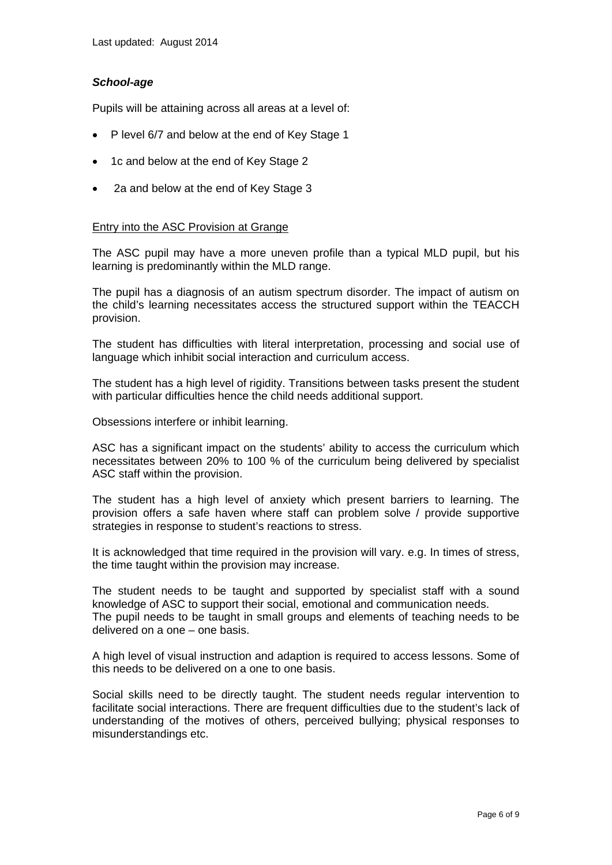## *School-age*

Pupils will be attaining across all areas at a level of:

- P level 6/7 and below at the end of Key Stage 1
- 1c and below at the end of Key Stage 2
- 2a and below at the end of Key Stage 3

## Entry into the ASC Provision at Grange

The ASC pupil may have a more uneven profile than a typical MLD pupil, but his learning is predominantly within the MLD range.

The pupil has a diagnosis of an autism spectrum disorder. The impact of autism on the child's learning necessitates access the structured support within the TEACCH provision.

The student has difficulties with literal interpretation, processing and social use of language which inhibit social interaction and curriculum access.

The student has a high level of rigidity. Transitions between tasks present the student with particular difficulties hence the child needs additional support.

Obsessions interfere or inhibit learning.

ASC has a significant impact on the students' ability to access the curriculum which necessitates between 20% to 100 % of the curriculum being delivered by specialist ASC staff within the provision.

The student has a high level of anxiety which present barriers to learning. The provision offers a safe haven where staff can problem solve / provide supportive strategies in response to student's reactions to stress.

It is acknowledged that time required in the provision will vary. e.g. In times of stress, the time taught within the provision may increase.

The student needs to be taught and supported by specialist staff with a sound knowledge of ASC to support their social, emotional and communication needs. The pupil needs to be taught in small groups and elements of teaching needs to be delivered on a one – one basis.

A high level of visual instruction and adaption is required to access lessons. Some of this needs to be delivered on a one to one basis.

Social skills need to be directly taught. The student needs regular intervention to facilitate social interactions. There are frequent difficulties due to the student's lack of understanding of the motives of others, perceived bullying; physical responses to misunderstandings etc.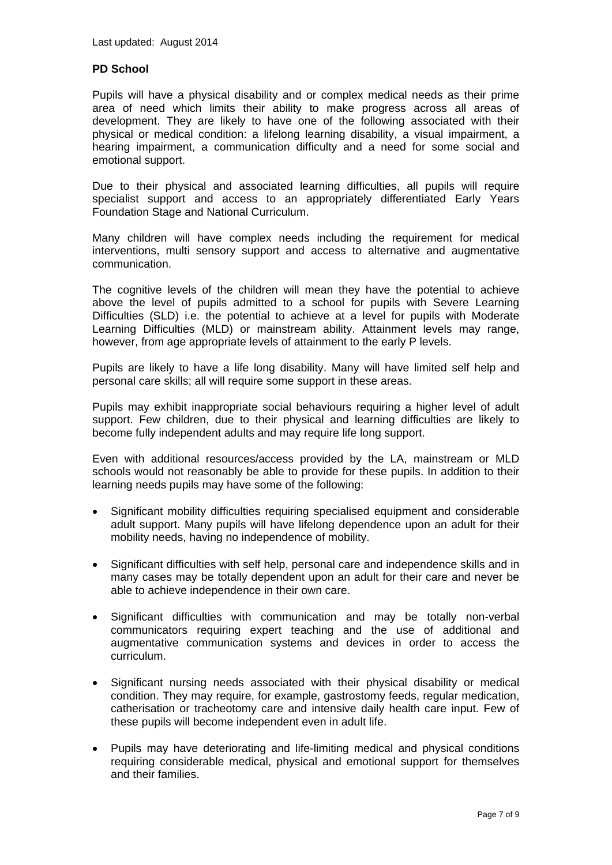# **PD School**

Pupils will have a physical disability and or complex medical needs as their prime area of need which limits their ability to make progress across all areas of development. They are likely to have one of the following associated with their physical or medical condition: a lifelong learning disability, a visual impairment, a hearing impairment, a communication difficulty and a need for some social and emotional support.

Due to their physical and associated learning difficulties, all pupils will require specialist support and access to an appropriately differentiated Early Years Foundation Stage and National Curriculum.

Many children will have complex needs including the requirement for medical interventions, multi sensory support and access to alternative and augmentative communication.

The cognitive levels of the children will mean they have the potential to achieve above the level of pupils admitted to a school for pupils with Severe Learning Difficulties (SLD) i.e. the potential to achieve at a level for pupils with Moderate Learning Difficulties (MLD) or mainstream ability. Attainment levels may range, however, from age appropriate levels of attainment to the early P levels.

Pupils are likely to have a life long disability. Many will have limited self help and personal care skills; all will require some support in these areas.

Pupils may exhibit inappropriate social behaviours requiring a higher level of adult support. Few children, due to their physical and learning difficulties are likely to become fully independent adults and may require life long support.

Even with additional resources/access provided by the LA, mainstream or MLD schools would not reasonably be able to provide for these pupils. In addition to their learning needs pupils may have some of the following:

- Significant mobility difficulties requiring specialised equipment and considerable adult support. Many pupils will have lifelong dependence upon an adult for their mobility needs, having no independence of mobility.
- Significant difficulties with self help, personal care and independence skills and in many cases may be totally dependent upon an adult for their care and never be able to achieve independence in their own care.
- Significant difficulties with communication and may be totally non-verbal communicators requiring expert teaching and the use of additional and augmentative communication systems and devices in order to access the curriculum.
- Significant nursing needs associated with their physical disability or medical condition. They may require, for example, gastrostomy feeds, regular medication, catherisation or tracheotomy care and intensive daily health care input. Few of these pupils will become independent even in adult life.
- Pupils may have deteriorating and life-limiting medical and physical conditions requiring considerable medical, physical and emotional support for themselves and their families.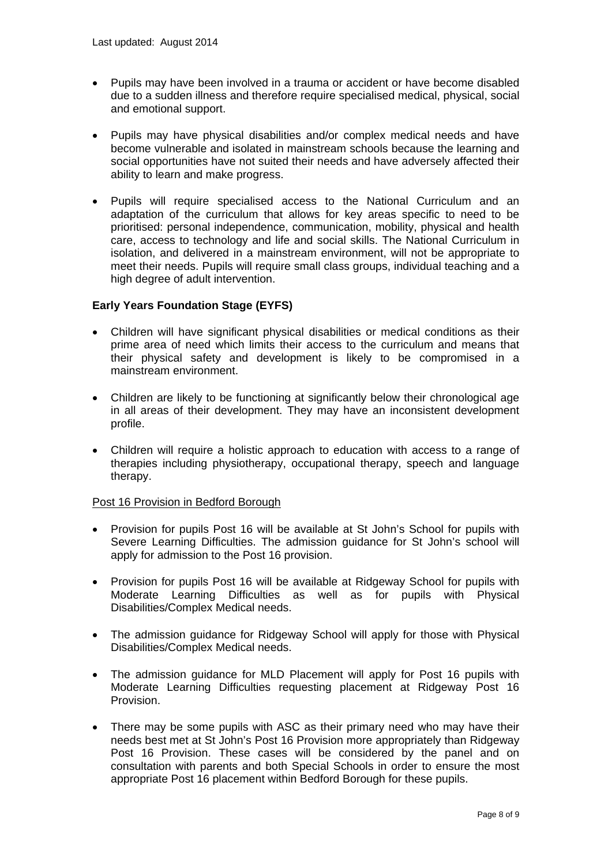- Pupils may have been involved in a trauma or accident or have become disabled due to a sudden illness and therefore require specialised medical, physical, social and emotional support.
- Pupils may have physical disabilities and/or complex medical needs and have become vulnerable and isolated in mainstream schools because the learning and social opportunities have not suited their needs and have adversely affected their ability to learn and make progress.
- Pupils will require specialised access to the National Curriculum and an adaptation of the curriculum that allows for key areas specific to need to be prioritised: personal independence, communication, mobility, physical and health care, access to technology and life and social skills. The National Curriculum in isolation, and delivered in a mainstream environment, will not be appropriate to meet their needs. Pupils will require small class groups, individual teaching and a high degree of adult intervention.

## **Early Years Foundation Stage (EYFS)**

- Children will have significant physical disabilities or medical conditions as their prime area of need which limits their access to the curriculum and means that their physical safety and development is likely to be compromised in a mainstream environment.
- Children are likely to be functioning at significantly below their chronological age in all areas of their development. They may have an inconsistent development profile.
- Children will require a holistic approach to education with access to a range of therapies including physiotherapy, occupational therapy, speech and language therapy.

## Post 16 Provision in Bedford Borough

- Provision for pupils Post 16 will be available at St John's School for pupils with Severe Learning Difficulties. The admission guidance for St John's school will apply for admission to the Post 16 provision.
- Provision for pupils Post 16 will be available at Ridgeway School for pupils with Moderate Learning Difficulties as well as for pupils with Physical Disabilities/Complex Medical needs.
- The admission guidance for Ridgeway School will apply for those with Physical Disabilities/Complex Medical needs.
- The admission guidance for MLD Placement will apply for Post 16 pupils with Moderate Learning Difficulties requesting placement at Ridgeway Post 16 Provision.
- There may be some pupils with ASC as their primary need who may have their needs best met at St John's Post 16 Provision more appropriately than Ridgeway Post 16 Provision. These cases will be considered by the panel and on consultation with parents and both Special Schools in order to ensure the most appropriate Post 16 placement within Bedford Borough for these pupils.